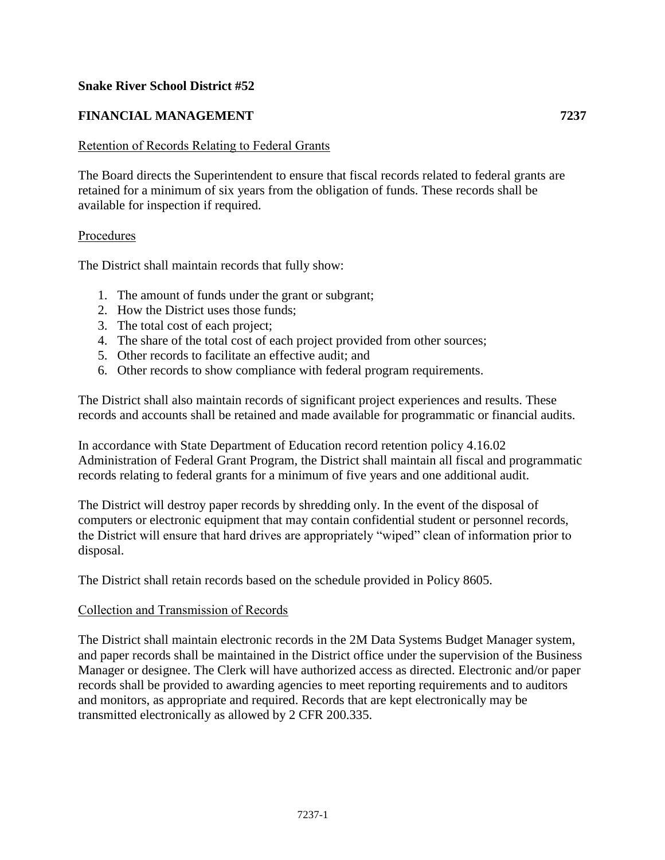## **Snake River School District #52**

# **FINANCIAL MANAGEMENT 7237**

### Retention of Records Relating to Federal Grants

The Board directs the Superintendent to ensure that fiscal records related to federal grants are retained for a minimum of six years from the obligation of funds. These records shall be available for inspection if required.

#### Procedures

The District shall maintain records that fully show:

- 1. The amount of funds under the grant or subgrant;
- 2. How the District uses those funds;
- 3. The total cost of each project;
- 4. The share of the total cost of each project provided from other sources;
- 5. Other records to facilitate an effective audit; and
- 6. Other records to show compliance with federal program requirements.

The District shall also maintain records of significant project experiences and results. These records and accounts shall be retained and made available for programmatic or financial audits.

In accordance with State Department of Education record retention policy 4.16.02 Administration of Federal Grant Program, the District shall maintain all fiscal and programmatic records relating to federal grants for a minimum of five years and one additional audit.

The District will destroy paper records by shredding only. In the event of the disposal of computers or electronic equipment that may contain confidential student or personnel records, the District will ensure that hard drives are appropriately "wiped" clean of information prior to disposal.

The District shall retain records based on the schedule provided [in](file:///C:/Users/bwalther/AppData/Local/Temp/Temp3_EDGAR-related%20Updates.zip/in) Policy 8605.

#### Collection and Transmission of Records

The District shall maintain electronic records in the 2M Data Systems Budget Manager system, and paper records shall be maintained in the District office under the supervision of the Business Manager or designee. The Clerk will have authorized access as directed. Electronic and/or paper records shall be provided to awarding agencies to meet reporting requirements and to auditors and monitors, as appropriate and required. Records that are kept electronically may be transmitted electronically as allowed by 2 CFR 200.335.